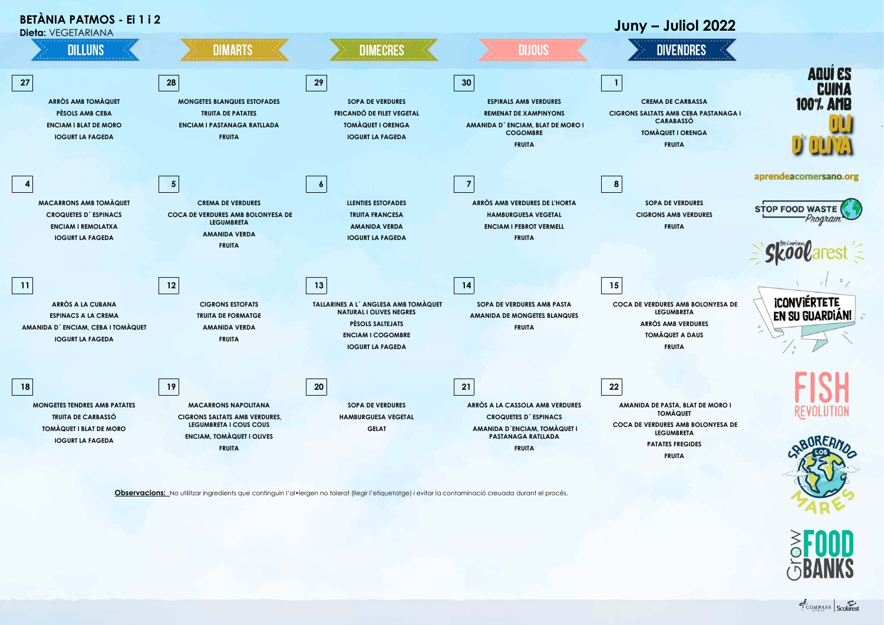

**Observacions:** No utilitzar ingredients que continguin l'al•lergen no tolerat (llegir l'etiquetatge) i evitar la contaminació creuada durant el procés.

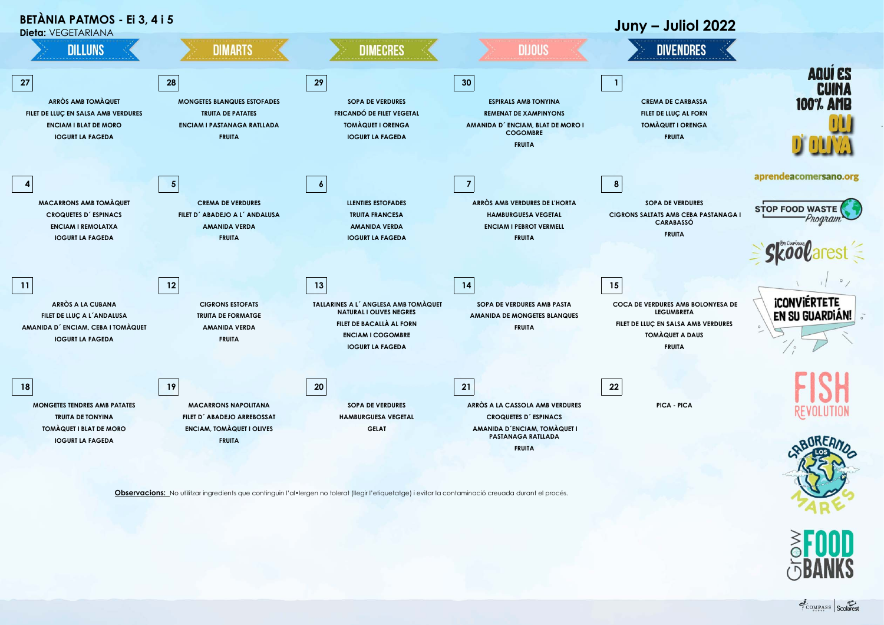

**Observacions:** No utilitzar ingredients que continguin l'al•lergen no tolerat (llegir l'etiquetatge) i evitar la contaminació creuada durant el procés.